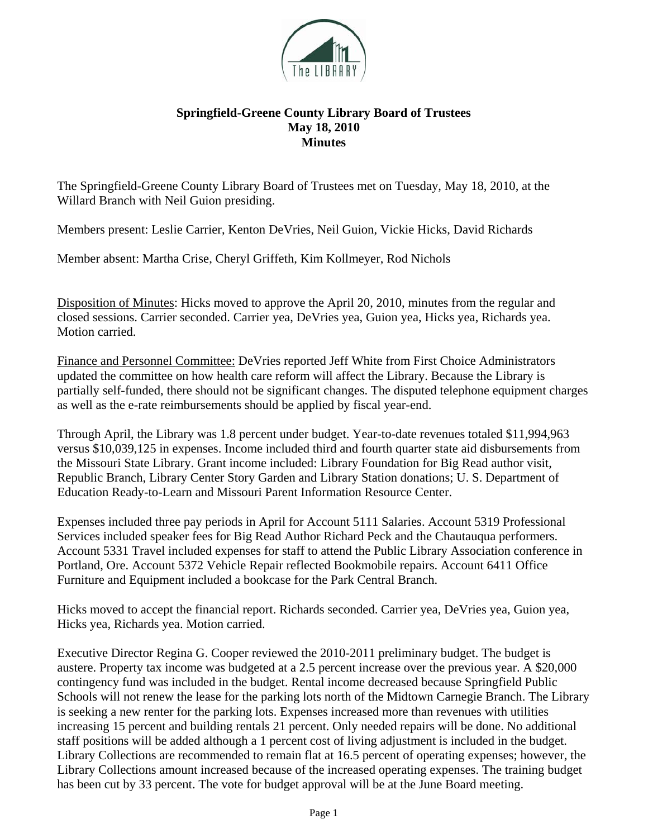

## **Springfield-Greene County Library Board of Trustees May 18, 2010 Minutes**

The Springfield-Greene County Library Board of Trustees met on Tuesday, May 18, 2010, at the Willard Branch with Neil Guion presiding.

Members present: Leslie Carrier, Kenton DeVries, Neil Guion, Vickie Hicks, David Richards

Member absent: Martha Crise, Cheryl Griffeth, Kim Kollmeyer, Rod Nichols

Disposition of Minutes: Hicks moved to approve the April 20, 2010, minutes from the regular and closed sessions. Carrier seconded. Carrier yea, DeVries yea, Guion yea, Hicks yea, Richards yea. Motion carried.

Finance and Personnel Committee: DeVries reported Jeff White from First Choice Administrators updated the committee on how health care reform will affect the Library. Because the Library is partially self-funded, there should not be significant changes. The disputed telephone equipment charges as well as the e-rate reimbursements should be applied by fiscal year-end.

Through April, the Library was 1.8 percent under budget. Year-to-date revenues totaled \$11,994,963 versus \$10,039,125 in expenses. Income included third and fourth quarter state aid disbursements from the Missouri State Library. Grant income included: Library Foundation for Big Read author visit, Republic Branch, Library Center Story Garden and Library Station donations; U. S. Department of Education Ready-to-Learn and Missouri Parent Information Resource Center.

Expenses included three pay periods in April for Account 5111 Salaries. Account 5319 Professional Services included speaker fees for Big Read Author Richard Peck and the Chautauqua performers. Account 5331 Travel included expenses for staff to attend the Public Library Association conference in Portland, Ore. Account 5372 Vehicle Repair reflected Bookmobile repairs. Account 6411 Office Furniture and Equipment included a bookcase for the Park Central Branch.

Hicks moved to accept the financial report. Richards seconded. Carrier yea, DeVries yea, Guion yea, Hicks yea, Richards yea. Motion carried.

Executive Director Regina G. Cooper reviewed the 2010-2011 preliminary budget. The budget is austere. Property tax income was budgeted at a 2.5 percent increase over the previous year. A \$20,000 contingency fund was included in the budget. Rental income decreased because Springfield Public Schools will not renew the lease for the parking lots north of the Midtown Carnegie Branch. The Library is seeking a new renter for the parking lots. Expenses increased more than revenues with utilities increasing 15 percent and building rentals 21 percent. Only needed repairs will be done. No additional staff positions will be added although a 1 percent cost of living adjustment is included in the budget. Library Collections are recommended to remain flat at 16.5 percent of operating expenses; however, the Library Collections amount increased because of the increased operating expenses. The training budget has been cut by 33 percent. The vote for budget approval will be at the June Board meeting.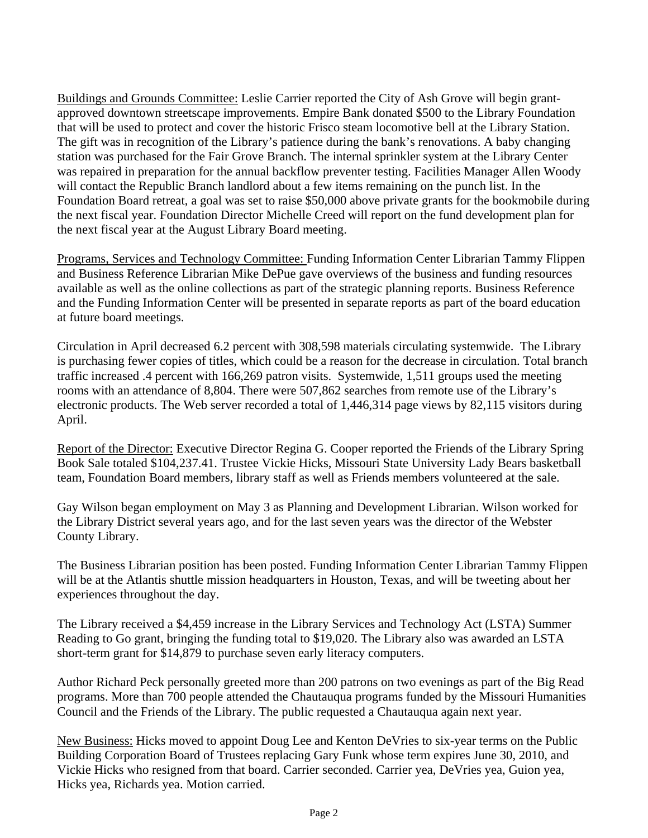Buildings and Grounds Committee: Leslie Carrier reported the City of Ash Grove will begin grantapproved downtown streetscape improvements. Empire Bank donated \$500 to the Library Foundation that will be used to protect and cover the historic Frisco steam locomotive bell at the Library Station. The gift was in recognition of the Library's patience during the bank's renovations. A baby changing station was purchased for the Fair Grove Branch. The internal sprinkler system at the Library Center was repaired in preparation for the annual backflow preventer testing. Facilities Manager Allen Woody will contact the Republic Branch landlord about a few items remaining on the punch list. In the Foundation Board retreat, a goal was set to raise \$50,000 above private grants for the bookmobile during the next fiscal year. Foundation Director Michelle Creed will report on the fund development plan for the next fiscal year at the August Library Board meeting.

Programs, Services and Technology Committee: Funding Information Center Librarian Tammy Flippen and Business Reference Librarian Mike DePue gave overviews of the business and funding resources available as well as the online collections as part of the strategic planning reports. Business Reference and the Funding Information Center will be presented in separate reports as part of the board education at future board meetings.

Circulation in April decreased 6.2 percent with 308,598 materials circulating systemwide. The Library is purchasing fewer copies of titles, which could be a reason for the decrease in circulation. Total branch traffic increased .4 percent with 166,269 patron visits. Systemwide, 1,511 groups used the meeting rooms with an attendance of 8,804. There were 507,862 searches from remote use of the Library's electronic products. The Web server recorded a total of 1,446,314 page views by 82,115 visitors during April.

Report of the Director: Executive Director Regina G. Cooper reported the Friends of the Library Spring Book Sale totaled \$104,237.41. Trustee Vickie Hicks, Missouri State University Lady Bears basketball team, Foundation Board members, library staff as well as Friends members volunteered at the sale.

Gay Wilson began employment on May 3 as Planning and Development Librarian. Wilson worked for the Library District several years ago, and for the last seven years was the director of the Webster County Library.

The Business Librarian position has been posted. Funding Information Center Librarian Tammy Flippen will be at the Atlantis shuttle mission headquarters in Houston, Texas, and will be tweeting about her experiences throughout the day.

The Library received a \$4,459 increase in the Library Services and Technology Act (LSTA) Summer Reading to Go grant, bringing the funding total to \$19,020. The Library also was awarded an LSTA short-term grant for \$14,879 to purchase seven early literacy computers.

Author Richard Peck personally greeted more than 200 patrons on two evenings as part of the Big Read programs. More than 700 people attended the Chautauqua programs funded by the Missouri Humanities Council and the Friends of the Library. The public requested a Chautauqua again next year.

New Business: Hicks moved to appoint Doug Lee and Kenton DeVries to six-year terms on the Public Building Corporation Board of Trustees replacing Gary Funk whose term expires June 30, 2010, and Vickie Hicks who resigned from that board. Carrier seconded. Carrier yea, DeVries yea, Guion yea, Hicks yea, Richards yea. Motion carried.